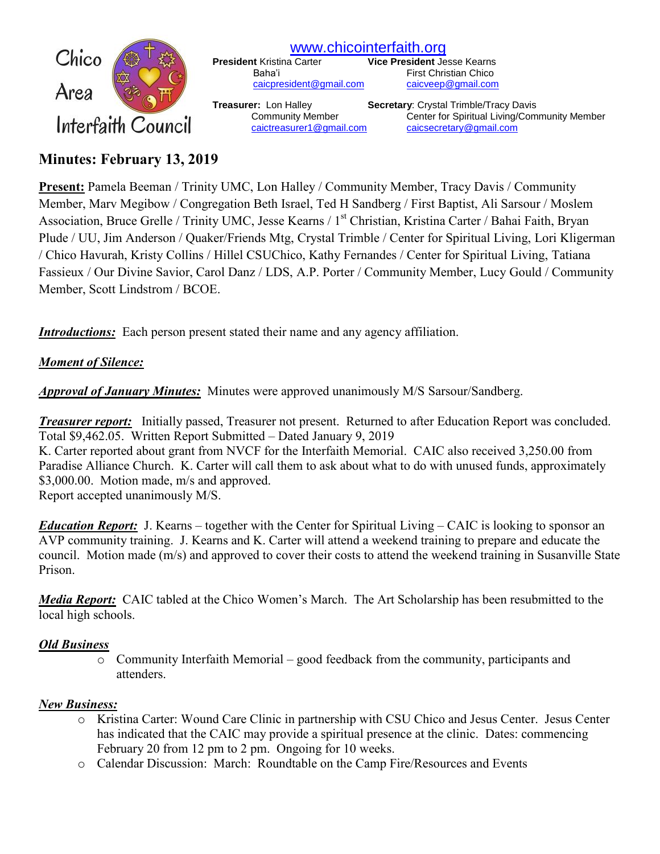

[www.chicointerfaith.org](file:///C:/Users/CSL/Downloads/www.chicointerfaith.org)<br>President Kristina Carter Vice President Je [caicpresident@gmail.com](mailto:caicpresident@gmail.com)

**Vice President Jesse Kearns** Baha'i First Christian Chico<br>
<u>Caicpresident@gmail.com</u> caicveep@gmail.com

**Treasurer:** Lon Halley **Secretary**: Crystal Trimble/Tracy Davis Community Member Center for Spiritual Living/Community Member [caictreasurer1@gmail.com](mailto:caictreasurer1@gmail.com) [caicsecretary@gmail.com](mailto:caicsecretary@gmail.com)

# **Minutes: February 13, 2019**

**Present:** Pamela Beeman / Trinity UMC, Lon Halley / Community Member, Tracy Davis / Community Member, Marv Megibow / Congregation Beth Israel, Ted H Sandberg / First Baptist, Ali Sarsour / Moslem Association, Bruce Grelle / Trinity UMC, Jesse Kearns / 1<sup>st</sup> Christian, Kristina Carter / Bahai Faith, Bryan Plude / UU, Jim Anderson / Quaker/Friends Mtg, Crystal Trimble / Center for Spiritual Living, Lori Kligerman / Chico Havurah, Kristy Collins / Hillel CSUChico, Kathy Fernandes / Center for Spiritual Living, Tatiana Fassieux / Our Divine Savior, Carol Danz / LDS, A.P. Porter / Community Member, Lucy Gould / Community Member, Scott Lindstrom / BCOE.

*Introductions:* Each person present stated their name and any agency affiliation.

# *Moment of Silence:*

*Approval of January Minutes:*Minutes were approved unanimously M/S Sarsour/Sandberg.

*Treasurer report:* Initially passed, Treasurer not present. Returned to after Education Report was concluded. Total \$9,462.05. Written Report Submitted – Dated January 9, 2019 K. Carter reported about grant from NVCF for the Interfaith Memorial. CAIC also received 3,250.00 from Paradise Alliance Church. K. Carter will call them to ask about what to do with unused funds, approximately \$3,000.00. Motion made, m/s and approved. Report accepted unanimously M/S.

*Education Report:* J. Kearns – together with the Center for Spiritual Living – CAIC is looking to sponsor an AVP community training. J. Kearns and K. Carter will attend a weekend training to prepare and educate the council. Motion made (m/s) and approved to cover their costs to attend the weekend training in Susanville State Prison.

*Media Report:* CAIC tabled at the Chico Women's March. The Art Scholarship has been resubmitted to the local high schools.

## *Old Business*

o Community Interfaith Memorial – good feedback from the community, participants and attenders.

# *New Business:*

- o Kristina Carter: Wound Care Clinic in partnership with CSU Chico and Jesus Center. Jesus Center has indicated that the CAIC may provide a spiritual presence at the clinic. Dates: commencing February 20 from 12 pm to 2 pm. Ongoing for 10 weeks.
- o Calendar Discussion: March: Roundtable on the Camp Fire/Resources and Events